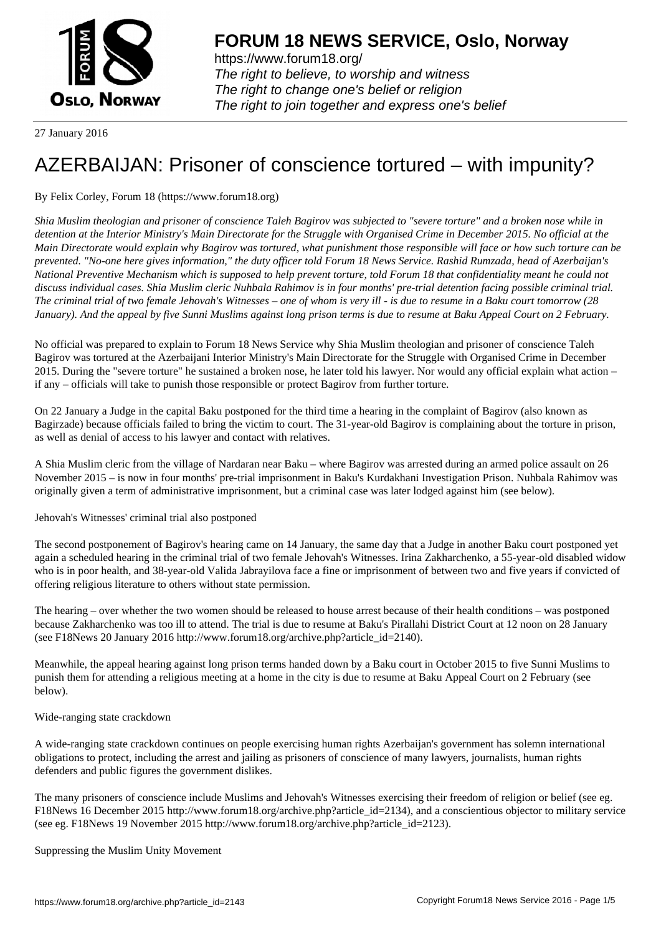

https://www.forum18.org/ The right to believe, to worship and witness The right to change one's belief or religion [The right to join together a](https://www.forum18.org/)nd express one's belief

27 January 2016

# [AZERBAIJAN: P](https://www.forum18.org)risoner of conscience tortured – with impunity?

# By Felix Corley, Forum 18 (https://www.forum18.org)

*Shia Muslim theologian and prisoner of conscience Taleh Bagirov was subjected to "severe torture" and a broken nose while in detention at the Interior Ministry's Main Directorate for the Struggle with Organised Crime in December 2015. No official at the Main Directorate would explain why Bagirov was tortured, what punishment those responsible will face or how such torture can be prevented. "No-one here gives information," the duty officer told Forum 18 News Service. Rashid Rumzada, head of Azerbaijan's National Preventive Mechanism which is supposed to help prevent torture, told Forum 18 that confidentiality meant he could not discuss individual cases. Shia Muslim cleric Nuhbala Rahimov is in four months' pre-trial detention facing possible criminal trial. The criminal trial of two female Jehovah's Witnesses – one of whom is very ill - is due to resume in a Baku court tomorrow (28 January). And the appeal by five Sunni Muslims against long prison terms is due to resume at Baku Appeal Court on 2 February.*

No official was prepared to explain to Forum 18 News Service why Shia Muslim theologian and prisoner of conscience Taleh Bagirov was tortured at the Azerbaijani Interior Ministry's Main Directorate for the Struggle with Organised Crime in December 2015. During the "severe torture" he sustained a broken nose, he later told his lawyer. Nor would any official explain what action – if any – officials will take to punish those responsible or protect Bagirov from further torture.

On 22 January a Judge in the capital Baku postponed for the third time a hearing in the complaint of Bagirov (also known as Bagirzade) because officials failed to bring the victim to court. The 31-year-old Bagirov is complaining about the torture in prison, as well as denial of access to his lawyer and contact with relatives.

A Shia Muslim cleric from the village of Nardaran near Baku – where Bagirov was arrested during an armed police assault on 26 November 2015 – is now in four months' pre-trial imprisonment in Baku's Kurdakhani Investigation Prison. Nuhbala Rahimov was originally given a term of administrative imprisonment, but a criminal case was later lodged against him (see below).

Jehovah's Witnesses' criminal trial also postponed

The second postponement of Bagirov's hearing came on 14 January, the same day that a Judge in another Baku court postponed yet again a scheduled hearing in the criminal trial of two female Jehovah's Witnesses. Irina Zakharchenko, a 55-year-old disabled widow who is in poor health, and 38-year-old Valida Jabrayilova face a fine or imprisonment of between two and five years if convicted of offering religious literature to others without state permission.

The hearing – over whether the two women should be released to house arrest because of their health conditions – was postponed because Zakharchenko was too ill to attend. The trial is due to resume at Baku's Pirallahi District Court at 12 noon on 28 January (see F18News 20 January 2016 http://www.forum18.org/archive.php?article\_id=2140).

Meanwhile, the appeal hearing against long prison terms handed down by a Baku court in October 2015 to five Sunni Muslims to punish them for attending a religious meeting at a home in the city is due to resume at Baku Appeal Court on 2 February (see below).

Wide-ranging state crackdown

A wide-ranging state crackdown continues on people exercising human rights Azerbaijan's government has solemn international obligations to protect, including the arrest and jailing as prisoners of conscience of many lawyers, journalists, human rights defenders and public figures the government dislikes.

The many prisoners of conscience include Muslims and Jehovah's Witnesses exercising their freedom of religion or belief (see eg. F18News 16 December 2015 http://www.forum18.org/archive.php?article\_id=2134), and a conscientious objector to military service (see eg. F18News 19 November 2015 http://www.forum18.org/archive.php?article\_id=2123).

Suppressing the Muslim Unity Movement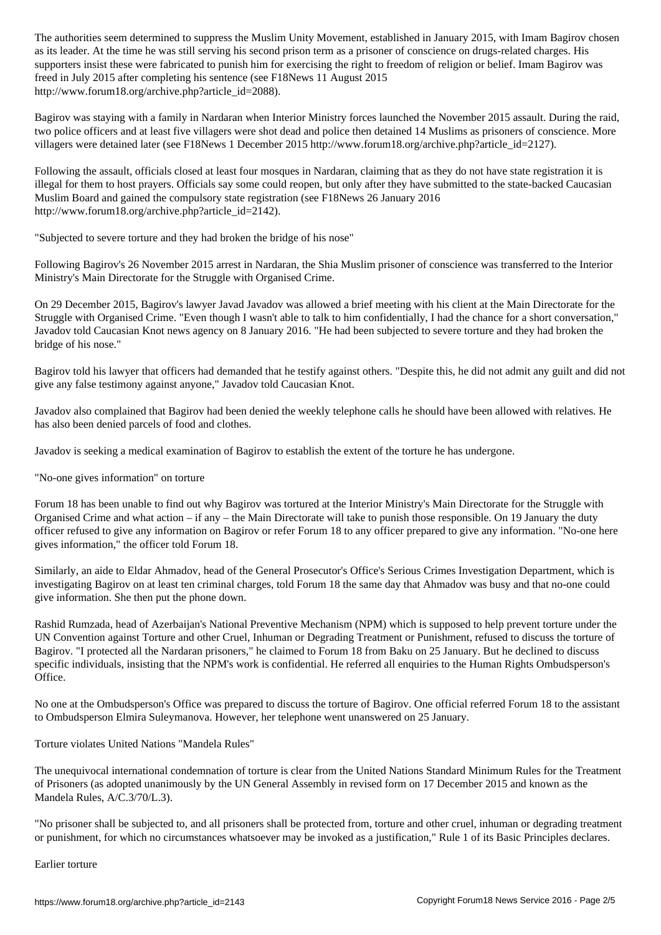as its leader. At the time he was still serving his second prison term as a prisoner of conscience on drugs-related charges. His supporters insist these were fabricated to punish him for exercising the right to freedom of religion or belief. Imam Bagirov was freed in July 2015 after completing his sentence (see F18News 11 August 2015 http://www.forum18.org/archive.php?article\_id=2088).

Bagirov was staying with a family in Nardaran when Interior Ministry forces launched the November 2015 assault. During the raid, two police officers and at least five villagers were shot dead and police then detained 14 Muslims as prisoners of conscience. More villagers were detained later (see F18News 1 December 2015 http://www.forum18.org/archive.php?article\_id=2127).

Following the assault, officials closed at least four mosques in Nardaran, claiming that as they do not have state registration it is illegal for them to host prayers. Officials say some could reopen, but only after they have submitted to the state-backed Caucasian Muslim Board and gained the compulsory state registration (see F18News 26 January 2016 http://www.forum18.org/archive.php?article\_id=2142).

"Subjected to severe torture and they had broken the bridge of his nose"

Following Bagirov's 26 November 2015 arrest in Nardaran, the Shia Muslim prisoner of conscience was transferred to the Interior Ministry's Main Directorate for the Struggle with Organised Crime.

On 29 December 2015, Bagirov's lawyer Javad Javadov was allowed a brief meeting with his client at the Main Directorate for the Struggle with Organised Crime. "Even though I wasn't able to talk to him confidentially, I had the chance for a short conversation," Javadov told Caucasian Knot news agency on 8 January 2016. "He had been subjected to severe torture and they had broken the bridge of his nose."

Bagirov told his lawyer that officers had demanded that he testify against others. "Despite this, he did not admit any guilt and did not give any false testimony against anyone," Javadov told Caucasian Knot.

Javadov also complained that Bagirov had been denied the weekly telephone calls he should have been allowed with relatives. He has also been denied parcels of food and clothes.

Javadov is seeking a medical examination of Bagirov to establish the extent of the torture he has undergone.

"No-one gives information" on torture

Forum 18 has been unable to find out why Bagirov was tortured at the Interior Ministry's Main Directorate for the Struggle with Organised Crime and what action – if any – the Main Directorate will take to punish those responsible. On 19 January the duty officer refused to give any information on Bagirov or refer Forum 18 to any officer prepared to give any information. "No-one here gives information," the officer told Forum 18.

Similarly, an aide to Eldar Ahmadov, head of the General Prosecutor's Office's Serious Crimes Investigation Department, which is investigating Bagirov on at least ten criminal charges, told Forum 18 the same day that Ahmadov was busy and that no-one could give information. She then put the phone down.

Rashid Rumzada, head of Azerbaijan's National Preventive Mechanism (NPM) which is supposed to help prevent torture under the UN Convention against Torture and other Cruel, Inhuman or Degrading Treatment or Punishment, refused to discuss the torture of Bagirov. "I protected all the Nardaran prisoners," he claimed to Forum 18 from Baku on 25 January. But he declined to discuss specific individuals, insisting that the NPM's work is confidential. He referred all enquiries to the Human Rights Ombudsperson's Office.

No one at the Ombudsperson's Office was prepared to discuss the torture of Bagirov. One official referred Forum 18 to the assistant to Ombudsperson Elmira Suleymanova. However, her telephone went unanswered on 25 January.

Torture violates United Nations "Mandela Rules"

The unequivocal international condemnation of torture is clear from the United Nations Standard Minimum Rules for the Treatment of Prisoners (as adopted unanimously by the UN General Assembly in revised form on 17 December 2015 and known as the Mandela Rules, A/C.3/70/L.3).

"No prisoner shall be subjected to, and all prisoners shall be protected from, torture and other cruel, inhuman or degrading treatment or punishment, for which no circumstances whatsoever may be invoked as a justification," Rule 1 of its Basic Principles declares.

Earlier torture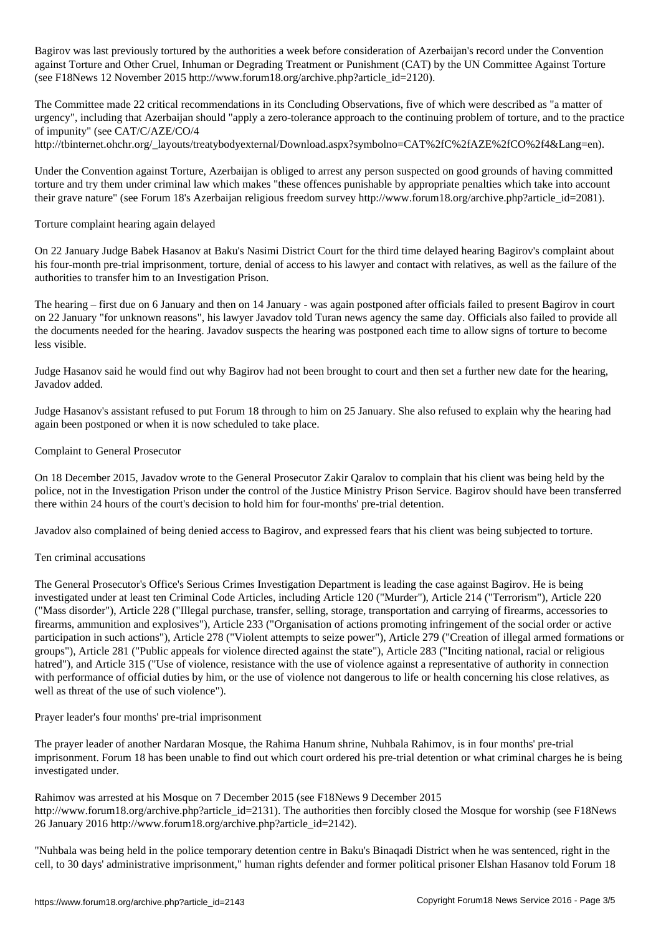Bagirov was last previously tortured by the authorities a week before consideration of Azerbaijan's record under the Convention against Torture and Other Cruel, Inhuman or Degrading Treatment or Punishment (CAT) by the UN Committee Against Torture (see F18News 12 November 2015 http://www.forum18.org/archive.php?article\_id=2120).

The Committee made 22 critical recommendations in its Concluding Observations, five of which were described as "a matter of urgency", including that Azerbaijan should "apply a zero-tolerance approach to the continuing problem of torture, and to the practice of impunity" (see CAT/C/AZE/CO/4

http://tbinternet.ohchr.org/\_layouts/treatybodyexternal/Download.aspx?symbolno=CAT%2fC%2fAZE%2fCO%2f4&Lang=en).

Under the Convention against Torture, Azerbaijan is obliged to arrest any person suspected on good grounds of having committed torture and try them under criminal law which makes "these offences punishable by appropriate penalties which take into account their grave nature" (see Forum 18's Azerbaijan religious freedom survey http://www.forum18.org/archive.php?article\_id=2081).

## Torture complaint hearing again delayed

On 22 January Judge Babek Hasanov at Baku's Nasimi District Court for the third time delayed hearing Bagirov's complaint about his four-month pre-trial imprisonment, torture, denial of access to his lawyer and contact with relatives, as well as the failure of the authorities to transfer him to an Investigation Prison.

The hearing – first due on 6 January and then on 14 January - was again postponed after officials failed to present Bagirov in court on 22 January "for unknown reasons", his lawyer Javadov told Turan news agency the same day. Officials also failed to provide all the documents needed for the hearing. Javadov suspects the hearing was postponed each time to allow signs of torture to become less visible.

Judge Hasanov said he would find out why Bagirov had not been brought to court and then set a further new date for the hearing, Javadov added.

Judge Hasanov's assistant refused to put Forum 18 through to him on 25 January. She also refused to explain why the hearing had again been postponed or when it is now scheduled to take place.

### Complaint to General Prosecutor

On 18 December 2015, Javadov wrote to the General Prosecutor Zakir Qaralov to complain that his client was being held by the police, not in the Investigation Prison under the control of the Justice Ministry Prison Service. Bagirov should have been transferred there within 24 hours of the court's decision to hold him for four-months' pre-trial detention.

Javadov also complained of being denied access to Bagirov, and expressed fears that his client was being subjected to torture.

### Ten criminal accusations

The General Prosecutor's Office's Serious Crimes Investigation Department is leading the case against Bagirov. He is being investigated under at least ten Criminal Code Articles, including Article 120 ("Murder"), Article 214 ("Terrorism"), Article 220 ("Mass disorder"), Article 228 ("Illegal purchase, transfer, selling, storage, transportation and carrying of firearms, accessories to firearms, ammunition and explosives"), Article 233 ("Organisation of actions promoting infringement of the social order or active participation in such actions"), Article 278 ("Violent attempts to seize power"), Article 279 ("Creation of illegal armed formations or groups"), Article 281 ("Public appeals for violence directed against the state"), Article 283 ("Inciting national, racial or religious hatred"), and Article 315 ("Use of violence, resistance with the use of violence against a representative of authority in connection with performance of official duties by him, or the use of violence not dangerous to life or health concerning his close relatives, as well as threat of the use of such violence").

Prayer leader's four months' pre-trial imprisonment

The prayer leader of another Nardaran Mosque, the Rahima Hanum shrine, Nuhbala Rahimov, is in four months' pre-trial imprisonment. Forum 18 has been unable to find out which court ordered his pre-trial detention or what criminal charges he is being investigated under.

Rahimov was arrested at his Mosque on 7 December 2015 (see F18News 9 December 2015 http://www.forum18.org/archive.php?article\_id=2131). The authorities then forcibly closed the Mosque for worship (see F18News 26 January 2016 http://www.forum18.org/archive.php?article\_id=2142).

"Nuhbala was being held in the police temporary detention centre in Baku's Binaqadi District when he was sentenced, right in the cell, to 30 days' administrative imprisonment," human rights defender and former political prisoner Elshan Hasanov told Forum 18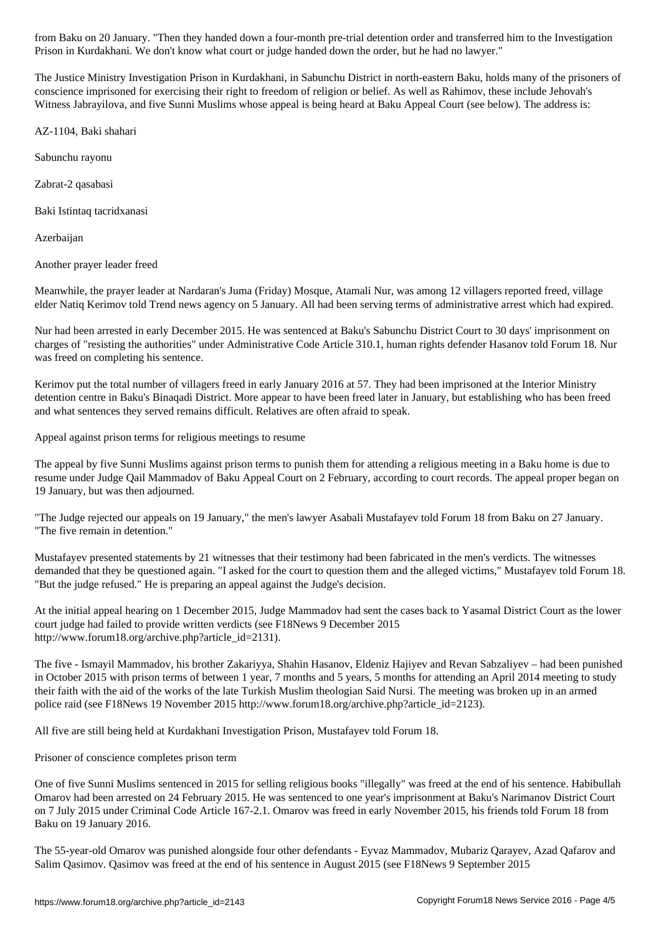The Justice Ministry Investigation Prison in Kurdakhani, in Sabunchu District in north-eastern Baku, holds many of the prisoners of conscience imprisoned for exercising their right to freedom of religion or belief. As well as Rahimov, these include Jehovah's Witness Jabrayilova, and five Sunni Muslims whose appeal is being heard at Baku Appeal Court (see below). The address is:

Prison in Kurdakhani. We don't know what court or judge handed down the order, but he had no lawyer."

AZ-1104, Baki shahari

Sabunchu rayonu

Zabrat-2 qasabasi

Baki Istintaq tacridxanasi

Azerbaijan

Another prayer leader freed

Meanwhile, the prayer leader at Nardaran's Juma (Friday) Mosque, Atamali Nur, was among 12 villagers reported freed, village elder Natiq Kerimov told Trend news agency on 5 January. All had been serving terms of administrative arrest which had expired.

Nur had been arrested in early December 2015. He was sentenced at Baku's Sabunchu District Court to 30 days' imprisonment on charges of "resisting the authorities" under Administrative Code Article 310.1, human rights defender Hasanov told Forum 18. Nur was freed on completing his sentence.

Kerimov put the total number of villagers freed in early January 2016 at 57. They had been imprisoned at the Interior Ministry detention centre in Baku's Binaqadi District. More appear to have been freed later in January, but establishing who has been freed and what sentences they served remains difficult. Relatives are often afraid to speak.

Appeal against prison terms for religious meetings to resume

The appeal by five Sunni Muslims against prison terms to punish them for attending a religious meeting in a Baku home is due to resume under Judge Qail Mammadov of Baku Appeal Court on 2 February, according to court records. The appeal proper began on 19 January, but was then adjourned.

"The Judge rejected our appeals on 19 January," the men's lawyer Asabali Mustafayev told Forum 18 from Baku on 27 January. "The five remain in detention."

Mustafayev presented statements by 21 witnesses that their testimony had been fabricated in the men's verdicts. The witnesses demanded that they be questioned again. "I asked for the court to question them and the alleged victims," Mustafayev told Forum 18. "But the judge refused." He is preparing an appeal against the Judge's decision.

At the initial appeal hearing on 1 December 2015, Judge Mammadov had sent the cases back to Yasamal District Court as the lower court judge had failed to provide written verdicts (see F18News 9 December 2015 http://www.forum18.org/archive.php?article\_id=2131).

The five - Ismayil Mammadov, his brother Zakariyya, Shahin Hasanov, Eldeniz Hajiyev and Revan Sabzaliyev – had been punished in October 2015 with prison terms of between 1 year, 7 months and 5 years, 5 months for attending an April 2014 meeting to study their faith with the aid of the works of the late Turkish Muslim theologian Said Nursi. The meeting was broken up in an armed police raid (see F18News 19 November 2015 http://www.forum18.org/archive.php?article\_id=2123).

All five are still being held at Kurdakhani Investigation Prison, Mustafayev told Forum 18.

Prisoner of conscience completes prison term

One of five Sunni Muslims sentenced in 2015 for selling religious books "illegally" was freed at the end of his sentence. Habibullah Omarov had been arrested on 24 February 2015. He was sentenced to one year's imprisonment at Baku's Narimanov District Court on 7 July 2015 under Criminal Code Article 167-2.1. Omarov was freed in early November 2015, his friends told Forum 18 from Baku on 19 January 2016.

The 55-year-old Omarov was punished alongside four other defendants - Eyvaz Mammadov, Mubariz Qarayev, Azad Qafarov and Salim Qasimov. Qasimov was freed at the end of his sentence in August 2015 (see F18News 9 September 2015